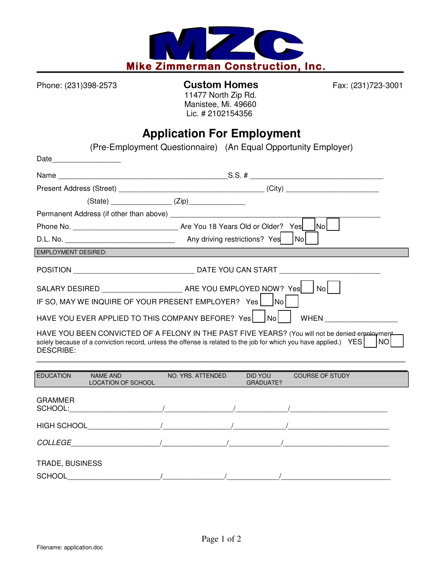

## Phone: (231)398-2573 **Custom Homes** Fax: (231)723-3001 11477 North Zip Rd.

 Manistee, Mi. 49660 Lic. # 2102154356

## **Application For Employment**

|                            | (Pre-Employment Questionnaire) (An Equal Opportunity Employer)                                                   |                   |                      |     |                                                                                                               |  |
|----------------------------|------------------------------------------------------------------------------------------------------------------|-------------------|----------------------|-----|---------------------------------------------------------------------------------------------------------------|--|
|                            |                                                                                                                  |                   |                      |     |                                                                                                               |  |
|                            |                                                                                                                  |                   |                      |     |                                                                                                               |  |
|                            |                                                                                                                  |                   |                      |     |                                                                                                               |  |
|                            | $(State)$ $(Zip)$                                                                                                |                   |                      |     |                                                                                                               |  |
|                            |                                                                                                                  |                   |                      |     |                                                                                                               |  |
|                            |                                                                                                                  |                   |                      |     | $\mathsf{Nol}$                                                                                                |  |
|                            |                                                                                                                  |                   |                      | Nol |                                                                                                               |  |
| <b>EMPLOYMENT DESIRED:</b> |                                                                                                                  |                   |                      |     |                                                                                                               |  |
|                            |                                                                                                                  |                   |                      |     |                                                                                                               |  |
|                            |                                                                                                                  |                   |                      |     |                                                                                                               |  |
|                            | IF SO, MAY WE INQUIRE OF YOUR PRESENT EMPLOYER? Yes   No                                                         |                   |                      |     |                                                                                                               |  |
|                            | HAVE YOU EVER APPLIED TO THIS COMPANY BEFORE? Yes   No                                                           |                   |                      |     |                                                                                                               |  |
| DESCRIBE:                  | solely because of a conviction record, unless the offense is related to the job for which you have applied.) YES |                   |                      |     | HAVE YOU BEEN CONVICTED OF A FELONY IN THE PAST FIVE YEARS? (You will not be denied employment<br><b>INOI</b> |  |
| <b>EDUCATION</b>           | <b>NAME AND</b><br>LOCATION OF SCHOOL                                                                            | NO. YRS. ATTENDED | DID YOU<br>GRADUATE? |     | <b>COURSE OF STUDY</b>                                                                                        |  |
| <b>GRAMMER</b>             |                                                                                                                  |                   |                      |     |                                                                                                               |  |
|                            |                                                                                                                  |                   |                      |     |                                                                                                               |  |
|                            |                                                                                                                  |                   |                      |     |                                                                                                               |  |
|                            |                                                                                                                  |                   |                      |     |                                                                                                               |  |
| <b>TRADE, BUSINESS</b>     |                                                                                                                  |                   |                      |     |                                                                                                               |  |

SCHOOL\_\_\_\_\_\_\_\_\_\_\_\_\_\_\_\_\_\_\_\_\_\_\_/\_\_\_\_\_\_\_\_\_\_\_\_\_\_\_\_\_/\_\_\_\_\_\_\_\_\_\_\_\_\_/\_\_\_\_\_\_\_\_\_\_\_\_\_\_\_\_\_\_\_\_\_\_\_\_\_\_\_